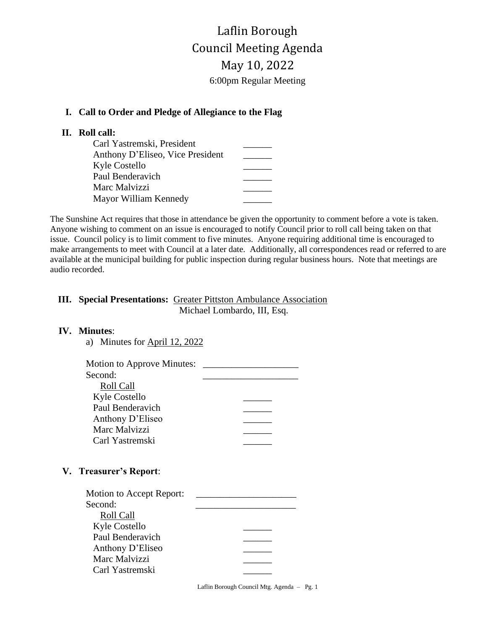Laflin Borough Council Meeting Agenda May 10, 2022 6:00pm Regular Meeting

### **I. Call to Order and Pledge of Allegiance to the Flag**

# **II. Roll call:**

| Carl Yastremski, President       |  |
|----------------------------------|--|
| Anthony D'Eliseo, Vice President |  |
| Kyle Costello                    |  |
| Paul Benderavich                 |  |
| Marc Malvizzi                    |  |
| Mayor William Kennedy            |  |

The Sunshine Act requires that those in attendance be given the opportunity to comment before a vote is taken. Anyone wishing to comment on an issue is encouraged to notify Council prior to roll call being taken on that issue. Council policy is to limit comment to five minutes. Anyone requiring additional time is encouraged to make arrangements to meet with Council at a later date. Additionally, all correspondences read or referred to are available at the municipal building for public inspection during regular business hours. Note that meetings are audio recorded.

# **III. Special Presentations:** Greater Pittston Ambulance Association Michael Lombardo, III, Esq.

### **IV. Minutes**:

| a) Minutes for April 12, 2022 |
|-------------------------------|
|                               |

| <b>Motion to Approve Minutes:</b> |  |
|-----------------------------------|--|
| Second:                           |  |
| Roll Call                         |  |
| Kyle Costello                     |  |
| Paul Benderavich                  |  |
| Anthony D'Eliseo                  |  |
| Marc Malvizzi                     |  |
| Carl Yastremski                   |  |

### **V. Treasurer's Report**:

| Motion to Accept Report: |  |
|--------------------------|--|
| Second:                  |  |
| Roll Call                |  |
| <b>Kyle Costello</b>     |  |
| Paul Benderavich         |  |
| Anthony D'Eliseo         |  |
| Marc Malvizzi            |  |
| Carl Yastremski          |  |
|                          |  |

Laflin Borough Council Mtg. Agenda – Pg. 1